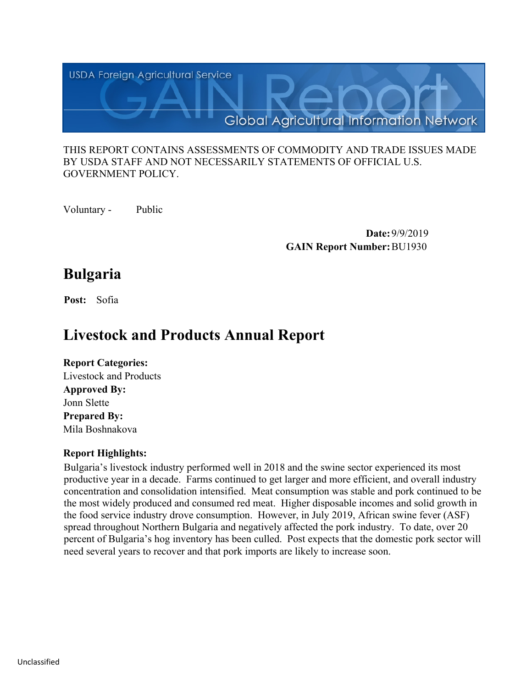

#### THIS REPORT CONTAINS ASSESSMENTS OF COMMODITY AND TRADE ISSUES MADE BY USDA STAFF AND NOT NECESSARILY STATEMENTS OF OFFICIAL U.S. GOVERNMENT POLICY.

Voluntary - Public

 **Date:** 9/9/2019 **GAIN Report Number:**BU1930

# **Bulgaria**

**Post:** Sofia

# **Livestock and Products Annual Report**

# **Report Categories:** Livestock and Products **Approved By:**  Jonn Slette **Prepared By:**  Mila Boshnakova

# **Report Highlights:**

Bulgaria's livestock industry performed well in 2018 and the swine sector experienced its most productive year in a decade. Farms continued to get larger and more efficient, and overall industry concentration and consolidation intensified. Meat consumption was stable and pork continued to be the most widely produced and consumed red meat. Higher disposable incomes and solid growth in the food service industry drove consumption. However, in July 2019, African swine fever (ASF) spread throughout Northern Bulgaria and negatively affected the pork industry. To date, over 20 percent of Bulgaria's hog inventory has been culled. Post expects that the domestic pork sector will need several years to recover and that pork imports are likely to increase soon.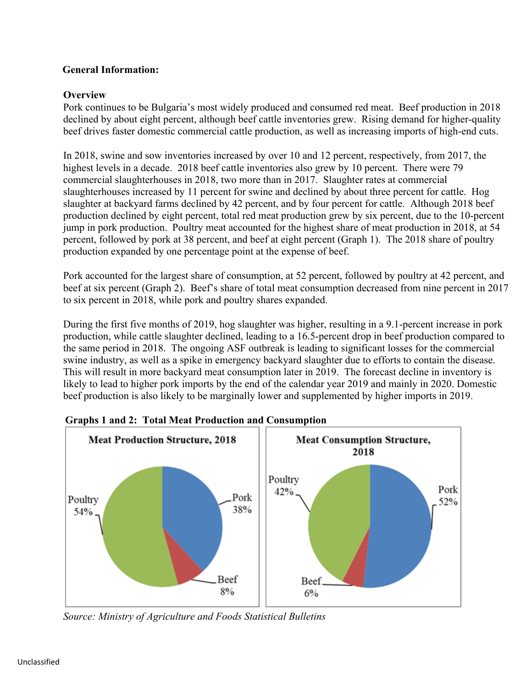## **General Information:**

## **Overview**

Pork continues to be Bulgaria's most widely produced and consumed red meat. Beef production in 2018 declined by about eight percent, although beef cattle inventories grew. Rising demand for higher-quality beef drives faster domestic commercial cattle production, as well as increasing imports of high-end cuts.

In 2018, swine and sow inventories increased by over 10 and 12 percent, respectively, from 2017, the highest levels in a decade. 2018 beef cattle inventories also grew by 10 percent. There were 79 commercial slaughterhouses in 2018, two more than in 2017. Slaughter rates at commercial slaughterhouses increased by 11 percent for swine and declined by about three percent for cattle. Hog slaughter at backyard farms declined by 42 percent, and by four percent for cattle. Although 2018 beef production declined by eight percent, total red meat production grew by six percent, due to the 10-percent jump in pork production. Poultry meat accounted for the highest share of meat production in 2018, at 54 percent, followed by pork at 38 percent, and beef at eight percent (Graph 1). The 2018 share of poultry production expanded by one percentage point at the expense of beef.

Pork accounted for the largest share of consumption, at 52 percent, followed by poultry at 42 percent, and beef at six percent (Graph 2). Beef's share of total meat consumption decreased from nine percent in 2017 to six percent in 2018, while pork and poultry shares expanded.

During the first five months of 2019, hog slaughter was higher, resulting in a 9.1-percent increase in pork production, while cattle slaughter declined, leading to a 16.5-percent drop in beef production compared to the same period in 2018. The ongoing ASF outbreak is leading to significant losses for the commercial swine industry, as well as a spike in emergency backyard slaughter due to efforts to contain the disease. This will result in more backyard meat consumption later in 2019. The forecast decline in inventory is likely to lead to higher pork imports by the end of the calendar year 2019 and mainly in 2020. Domestic beef production is also likely to be marginally lower and supplemented by higher imports in 2019.



 **Graphs 1 and 2: Total Meat Production and Consumption** 

*Source: Ministry of Agriculture and Foods Statistical Bulletins*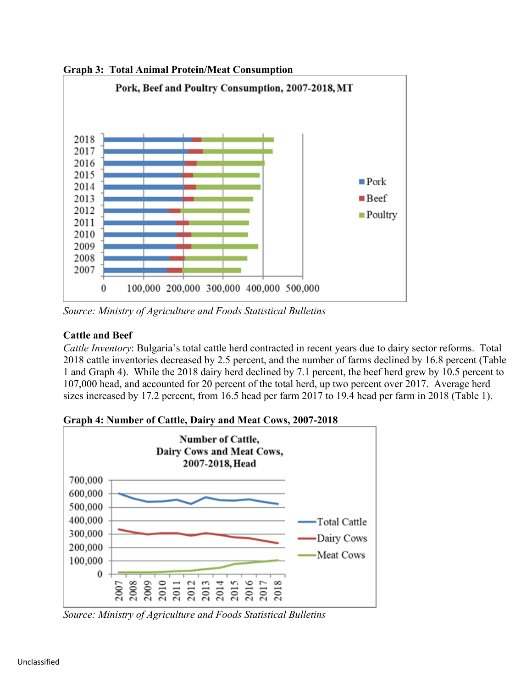**Graph 3: Total Animal Protein/Meat Consumption**



*Source: Ministry of Agriculture and Foods Statistical Bulletins*

# **Cattle and Beef**

*Cattle Inventory*: Bulgaria's total cattle herd contracted in recent years due to dairy sector reforms. Total 2018 cattle inventories decreased by 2.5 percent, and the number of farms declined by 16.8 percent (Table 1 and Graph 4). While the 2018 dairy herd declined by 7.1 percent, the beef herd grew by 10.5 percent to 107,000 head, and accounted for 20 percent of the total herd, up two percent over 2017. Average herd sizes increased by 17.2 percent, from 16.5 head per farm 2017 to 19.4 head per farm in 2018 (Table 1).



**Graph 4: Number of Cattle, Dairy and Meat Cows, 2007-2018**

*Source: Ministry of Agriculture and Foods Statistical Bulletins*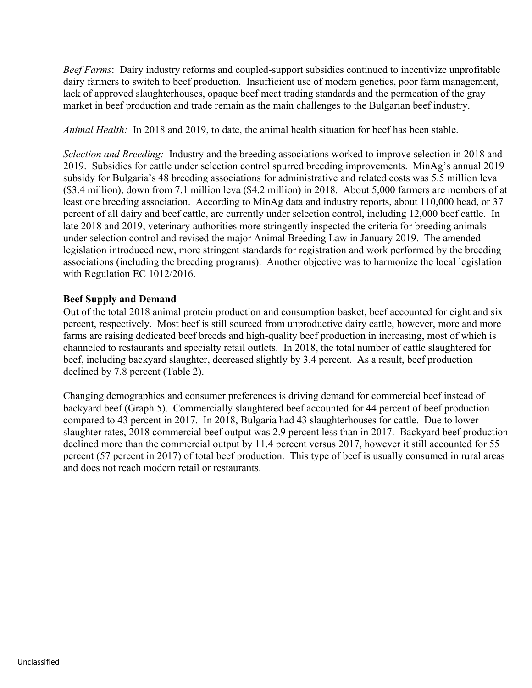*Beef Farms*: Dairy industry reforms and coupled-support subsidies continued to incentivize unprofitable dairy farmers to switch to beef production. Insufficient use of modern genetics, poor farm management, lack of approved slaughterhouses, opaque beef meat trading standards and the permeation of the gray market in beef production and trade remain as the main challenges to the Bulgarian beef industry.

*Animal Health:* In 2018 and 2019, to date, the animal health situation for beef has been stable.

*Selection and Breeding:* Industry and the breeding associations worked to improve selection in 2018 and 2019. Subsidies for cattle under selection control spurred breeding improvements. MinAg's annual 2019 subsidy for Bulgaria's 48 breeding associations for administrative and related costs was 5.5 million leva (\$3.4 million), down from 7.1 million leva (\$4.2 million) in 2018. About 5,000 farmers are members of at least one breeding association. According to MinAg data and industry reports, about 110,000 head, or 37 percent of all dairy and beef cattle, are currently under selection control, including 12,000 beef cattle. In late 2018 and 2019, veterinary authorities more stringently inspected the criteria for breeding animals under selection control and revised the major Animal Breeding Law in January 2019. The amended legislation introduced new, more stringent standards for registration and work performed by the breeding associations (including the breeding programs). Another objective was to harmonize the local legislation with Regulation EC 1012/2016.

### **Beef Supply and Demand**

Out of the total 2018 animal protein production and consumption basket, beef accounted for eight and six percent, respectively. Most beef is still sourced from unproductive dairy cattle, however, more and more farms are raising dedicated beef breeds and high-quality beef production in increasing, most of which is channeled to restaurants and specialty retail outlets. In 2018, the total number of cattle slaughtered for beef, including backyard slaughter, decreased slightly by 3.4 percent. As a result, beef production declined by 7.8 percent (Table 2).

Changing demographics and consumer preferences is driving demand for commercial beef instead of backyard beef (Graph 5). Commercially slaughtered beef accounted for 44 percent of beef production compared to 43 percent in 2017. In 2018, Bulgaria had 43 slaughterhouses for cattle. Due to lower slaughter rates, 2018 commercial beef output was 2.9 percent less than in 2017. Backyard beef production declined more than the commercial output by 11.4 percent versus 2017, however it still accounted for 55 percent (57 percent in 2017) of total beef production. This type of beef is usually consumed in rural areas and does not reach modern retail or restaurants.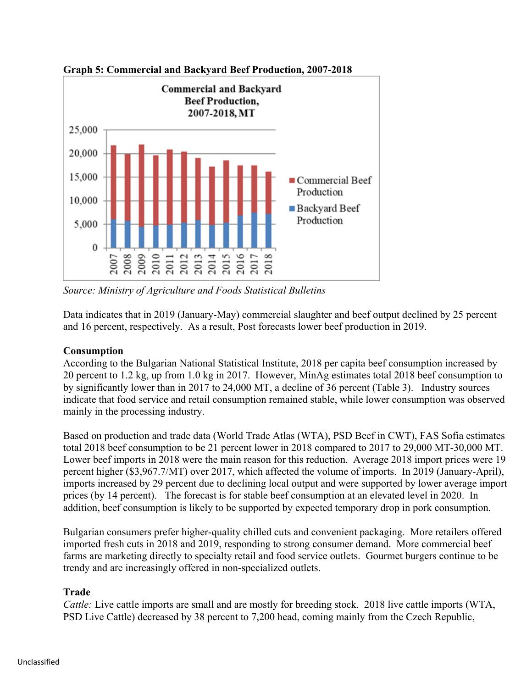

**Graph 5: Commercial and Backyard Beef Production, 2007-2018**

*Source: Ministry of Agriculture and Foods Statistical Bulletins*

Data indicates that in 2019 (January-May) commercial slaughter and beef output declined by 25 percent and 16 percent, respectively. As a result, Post forecasts lower beef production in 2019.

## **Consumption**

According to the Bulgarian National Statistical Institute, 2018 per capita beef consumption increased by 20 percent to 1.2 kg, up from 1.0 kg in 2017. However, MinAg estimates total 2018 beef consumption to by significantly lower than in 2017 to 24,000 MT, a decline of 36 percent (Table 3). Industry sources indicate that food service and retail consumption remained stable, while lower consumption was observed mainly in the processing industry.

Based on production and trade data (World Trade Atlas (WTA), PSD Beef in CWT), FAS Sofia estimates total 2018 beef consumption to be 21 percent lower in 2018 compared to 2017 to 29,000 MT-30,000 MT. Lower beef imports in 2018 were the main reason for this reduction. Average 2018 import prices were 19 percent higher (\$3,967.7/MT) over 2017, which affected the volume of imports. In 2019 (January-April), imports increased by 29 percent due to declining local output and were supported by lower average import prices (by 14 percent). The forecast is for stable beef consumption at an elevated level in 2020. In addition, beef consumption is likely to be supported by expected temporary drop in pork consumption.

Bulgarian consumers prefer higher-quality chilled cuts and convenient packaging. More retailers offered imported fresh cuts in 2018 and 2019, responding to strong consumer demand. More commercial beef farms are marketing directly to specialty retail and food service outlets. Gourmet burgers continue to be trendy and are increasingly offered in non-specialized outlets.

#### **Trade**

*Cattle:* Live cattle imports are small and are mostly for breeding stock. 2018 live cattle imports (WTA, PSD Live Cattle) decreased by 38 percent to 7,200 head, coming mainly from the Czech Republic,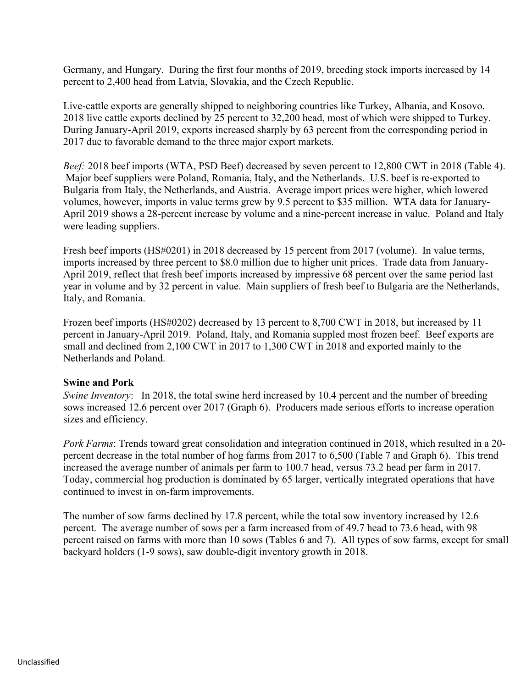Germany, and Hungary. During the first four months of 2019, breeding stock imports increased by 14 percent to 2,400 head from Latvia, Slovakia, and the Czech Republic.

Live-cattle exports are generally shipped to neighboring countries like Turkey, Albania, and Kosovo. 2018 live cattle exports declined by 25 percent to 32,200 head, most of which were shipped to Turkey. During January-April 2019, exports increased sharply by 63 percent from the corresponding period in 2017 due to favorable demand to the three major export markets.

*Beef:* 2018 beef imports (WTA, PSD Beef) decreased by seven percent to 12,800 CWT in 2018 (Table 4). Major beef suppliers were Poland, Romania, Italy, and the Netherlands. U.S. beef is re-exported to Bulgaria from Italy, the Netherlands, and Austria. Average import prices were higher, which lowered volumes, however, imports in value terms grew by 9.5 percent to \$35 million. WTA data for January-April 2019 shows a 28-percent increase by volume and a nine-percent increase in value. Poland and Italy were leading suppliers.

Fresh beef imports (HS#0201) in 2018 decreased by 15 percent from 2017 (volume). In value terms, imports increased by three percent to \$8.0 million due to higher unit prices. Trade data from January-April 2019, reflect that fresh beef imports increased by impressive 68 percent over the same period last year in volume and by 32 percent in value. Main suppliers of fresh beef to Bulgaria are the Netherlands, Italy, and Romania.

Frozen beef imports (HS#0202) decreased by 13 percent to 8,700 CWT in 2018, but increased by 11 percent in January-April 2019. Poland, Italy, and Romania suppled most frozen beef. Beef exports are small and declined from 2,100 CWT in 2017 to 1,300 CWT in 2018 and exported mainly to the Netherlands and Poland.

#### **Swine and Pork**

*Swine Inventory*: In 2018, the total swine herd increased by 10.4 percent and the number of breeding sows increased 12.6 percent over 2017 (Graph 6). Producers made serious efforts to increase operation sizes and efficiency.

*Pork Farms*: Trends toward great consolidation and integration continued in 2018, which resulted in a 20 percent decrease in the total number of hog farms from 2017 to 6,500 (Table 7 and Graph 6). This trend increased the average number of animals per farm to 100.7 head, versus 73.2 head per farm in 2017. Today, commercial hog production is dominated by 65 larger, vertically integrated operations that have continued to invest in on-farm improvements.

The number of sow farms declined by 17.8 percent, while the total sow inventory increased by 12.6 percent. The average number of sows per a farm increased from of 49.7 head to 73.6 head, with 98 percent raised on farms with more than 10 sows (Tables 6 and 7). All types of sow farms, except for small backyard holders (1-9 sows), saw double-digit inventory growth in 2018.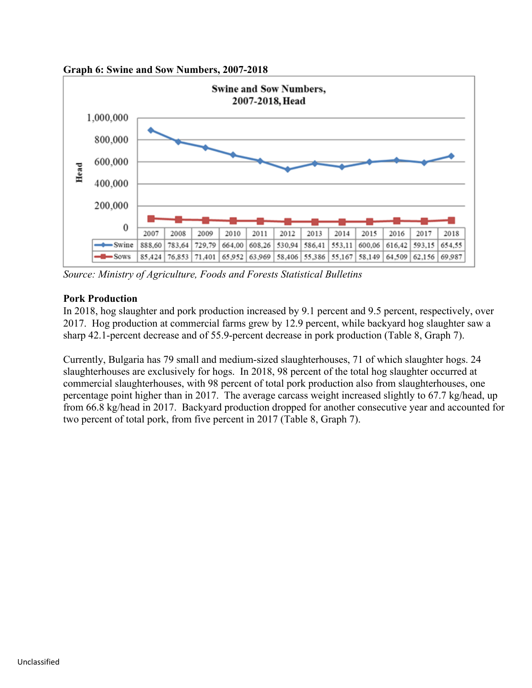



*Source: Ministry of Agriculture, Foods and Forests Statistical Bulletins*

## **Pork Production**

In 2018, hog slaughter and pork production increased by 9.1 percent and 9.5 percent, respectively, over 2017. Hog production at commercial farms grew by 12.9 percent, while backyard hog slaughter saw a sharp 42.1-percent decrease and of 55.9-percent decrease in pork production (Table 8, Graph 7).

Currently, Bulgaria has 79 small and medium-sized slaughterhouses, 71 of which slaughter hogs. 24 slaughterhouses are exclusively for hogs. In 2018, 98 percent of the total hog slaughter occurred at commercial slaughterhouses, with 98 percent of total pork production also from slaughterhouses, one percentage point higher than in 2017. The average carcass weight increased slightly to 67.7 kg/head, up from 66.8 kg/head in 2017. Backyard production dropped for another consecutive year and accounted for two percent of total pork, from five percent in 2017 (Table 8, Graph 7).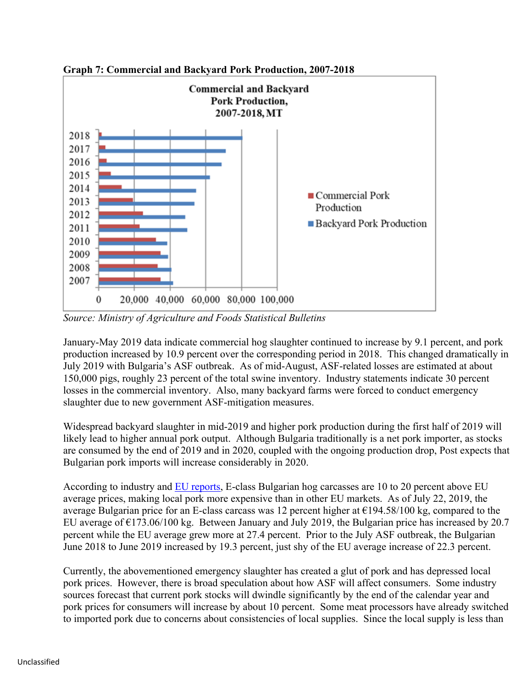

**Graph 7: Commercial and Backyard Pork Production, 2007-2018**

*Source: Ministry of Agriculture and Foods Statistical Bulletins*

January-May 2019 data indicate commercial hog slaughter continued to increase by 9.1 percent, and pork production increased by 10.9 percent over the corresponding period in 2018. This changed dramatically in July 2019 with Bulgaria's ASF outbreak. As of mid-August, ASF-related losses are estimated at about 150,000 pigs, roughly 23 percent of the total swine inventory. Industry statements indicate 30 percent losses in the commercial inventory. Also, many backyard farms were forced to conduct emergency slaughter due to new government ASF-mitigation measures.

Widespread backyard slaughter in mid-2019 and higher pork production during the first half of 2019 will likely lead to higher annual pork output. Although Bulgaria traditionally is a net pork importer, as stocks are consumed by the end of 2019 and in 2020, coupled with the ongoing production drop, Post expects that Bulgarian pork imports will increase considerably in 2020.

According to industry and [EU reports,](https://ec.europa.eu/agriculture/sites/agriculture/files/market-observatory/meat/pigmeat/doc/pig-weekly-prices-eu_en.pdf) E-class Bulgarian hog carcasses are 10 to 20 percent above EU average prices, making local pork more expensive than in other EU markets. As of July 22, 2019, the average Bulgarian price for an E-class carcass was 12 percent higher at €194.58/100 kg, compared to the EU average of  $E173.06/100$  kg. Between January and July 2019, the Bulgarian price has increased by 20.7 percent while the EU average grew more at 27.4 percent. Prior to the July ASF outbreak, the Bulgarian June 2018 to June 2019 increased by 19.3 percent, just shy of the EU average increase of 22.3 percent.

Currently, the abovementioned emergency slaughter has created a glut of pork and has depressed local pork prices. However, there is broad speculation about how ASF will affect consumers. Some industry sources forecast that current pork stocks will dwindle significantly by the end of the calendar year and pork prices for consumers will increase by about 10 percent. Some meat processors have already switched to imported pork due to concerns about consistencies of local supplies. Since the local supply is less than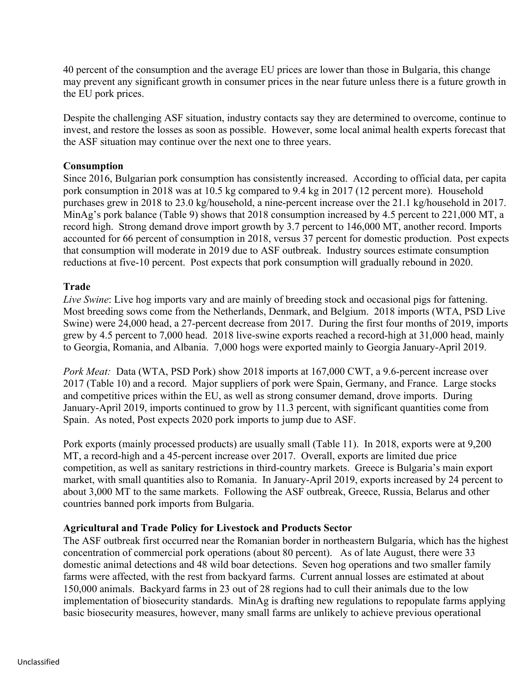40 percent of the consumption and the average EU prices are lower than those in Bulgaria, this change may prevent any significant growth in consumer prices in the near future unless there is a future growth in the EU pork prices.

Despite the challenging ASF situation, industry contacts say they are determined to overcome, continue to invest, and restore the losses as soon as possible. However, some local animal health experts forecast that the ASF situation may continue over the next one to three years.

#### **Consumption**

Since 2016, Bulgarian pork consumption has consistently increased. According to official data, per capita pork consumption in 2018 was at 10.5 kg compared to 9.4 kg in 2017 (12 percent more). Household purchases grew in 2018 to 23.0 kg/household, a nine-percent increase over the 21.1 kg/household in 2017. MinAg's pork balance (Table 9) shows that 2018 consumption increased by 4.5 percent to 221,000 MT, a record high. Strong demand drove import growth by 3.7 percent to 146,000 MT, another record. Imports accounted for 66 percent of consumption in 2018, versus 37 percent for domestic production. Post expects that consumption will moderate in 2019 due to ASF outbreak. Industry sources estimate consumption reductions at five-10 percent. Post expects that pork consumption will gradually rebound in 2020.

### **Trade**

*Live Swine*: Live hog imports vary and are mainly of breeding stock and occasional pigs for fattening. Most breeding sows come from the Netherlands, Denmark, and Belgium. 2018 imports (WTA, PSD Live Swine) were 24,000 head, a 27-percent decrease from 2017. During the first four months of 2019, imports grew by 4.5 percent to 7,000 head. 2018 live-swine exports reached a record-high at 31,000 head, mainly to Georgia, Romania, and Albania. 7,000 hogs were exported mainly to Georgia January-April 2019.

*Pork Meat:* Data (WTA, PSD Pork) show 2018 imports at 167,000 CWT, a 9.6-percent increase over 2017 (Table 10) and a record. Major suppliers of pork were Spain, Germany, and France. Large stocks and competitive prices within the EU, as well as strong consumer demand, drove imports. During January-April 2019, imports continued to grow by 11.3 percent, with significant quantities come from Spain. As noted, Post expects 2020 pork imports to jump due to ASF.

Pork exports (mainly processed products) are usually small (Table 11). In 2018, exports were at 9,200 MT, a record-high and a 45-percent increase over 2017. Overall, exports are limited due price competition, as well as sanitary restrictions in third-country markets. Greece is Bulgaria's main export market, with small quantities also to Romania. In January-April 2019, exports increased by 24 percent to about 3,000 MT to the same markets. Following the ASF outbreak, Greece, Russia, Belarus and other countries banned pork imports from Bulgaria.

#### **Agricultural and Trade Policy for Livestock and Products Sector**

The ASF outbreak first occurred near the Romanian border in northeastern Bulgaria, which has the highest concentration of commercial pork operations (about 80 percent). As of late August, there were 33 domestic animal detections and 48 wild boar detections. Seven hog operations and two smaller family farms were affected, with the rest from backyard farms. Current annual losses are estimated at about 150,000 animals. Backyard farms in 23 out of 28 regions had to cull their animals due to the low implementation of biosecurity standards. MinAg is drafting new regulations to repopulate farms applying basic biosecurity measures, however, many small farms are unlikely to achieve previous operational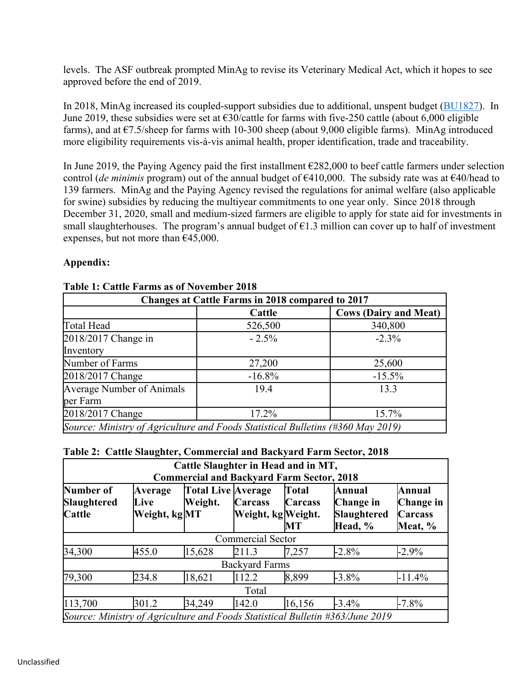levels. The ASF outbreak prompted MinAg to revise its Veterinary Medical Act, which it hopes to see approved before the end of 2019.

In 2018, MinAg increased its coupled-support subsidies due to additional, unspent budget ([BU1827](http://gain.fas.usda.gov/Recent%20GAIN%20Publications/Livestock%20and%20Products%20Annual_Sofia_Bulgaria_7-30-2018.pdf)). In June 2019, these subsidies were set at  $\epsilon$ 30/cattle for farms with five-250 cattle (about 6,000 eligible farms), and at  $\epsilon$ 7.5/sheep for farms with 10-300 sheep (about 9,000 eligible farms). MinAg introduced more eligibility requirements vis-à-vis animal health, proper identification, trade and traceability.

In June 2019, the Paying Agency paid the first installment  $\epsilon$ 282,000 to beef cattle farmers under selection control (*de minimis* program) out of the annual budget of €410,000. The subsidy rate was at €40/head to 139 farmers. MinAg and the Paying Agency revised the regulations for animal welfare (also applicable for swine) subsidies by reducing the multiyear commitments to one year only. Since 2018 through December 31, 2020, small and medium-sized farmers are eligible to apply for state aid for investments in small slaughterhouses. The program's annual budget of  $\epsilon$ 1.3 million can cover up to half of investment expenses, but not more than €45,000.

### **Appendix:**

| Changes at Cattle Farms in 2018 compared to 2017                                |           |                              |  |  |  |  |  |  |
|---------------------------------------------------------------------------------|-----------|------------------------------|--|--|--|--|--|--|
|                                                                                 | Cattle    | <b>Cows (Dairy and Meat)</b> |  |  |  |  |  |  |
| Total Head                                                                      | 526,500   | 340,800                      |  |  |  |  |  |  |
| $2018/2017$ Change in                                                           | $-2.5\%$  | $-2.3\%$                     |  |  |  |  |  |  |
| Inventory                                                                       |           |                              |  |  |  |  |  |  |
| Number of Farms                                                                 | 27,200    | 25,600                       |  |  |  |  |  |  |
| 2018/2017 Change                                                                | $-16.8\%$ | $-15.5\%$                    |  |  |  |  |  |  |
| Average Number of Animals                                                       | 19.4      | 13.3                         |  |  |  |  |  |  |
| per Farm                                                                        |           |                              |  |  |  |  |  |  |
| 2018/2017 Change                                                                | 17.2%     | 15.7%                        |  |  |  |  |  |  |
| Source: Ministry of Agriculture and Foods Statistical Bulletins (#360 May 2019) |           |                              |  |  |  |  |  |  |

#### **Table 1: Cattle Farms as of November 2018**

| Table 2: Cattle Slaughter, Commercial and Backyard Farm Sector, 2018 |  |  |
|----------------------------------------------------------------------|--|--|
|                                                                      |  |  |

|                                                                               |                                         |                               | Cattle Slaughter in Head and in MT,<br><b>Commercial and Backyard Farm Sector, 2018</b> |                                      |                                               |                                                  |  |  |
|-------------------------------------------------------------------------------|-----------------------------------------|-------------------------------|-----------------------------------------------------------------------------------------|--------------------------------------|-----------------------------------------------|--------------------------------------------------|--|--|
| Number of<br>Slaughtered<br>Cattle                                            | <b>Average</b><br>Live<br>Weight, kg MT | Total Live Average<br>Weight. | <b>Carcass</b><br>Weight, kg Weight.                                                    | Total<br><b>Carcass</b><br><b>MT</b> | Annual<br>Change in<br>Slaughtered<br>Head, % | Annual<br>Change in<br><b>Carcass</b><br>Meat, % |  |  |
|                                                                               |                                         |                               | <b>Commercial Sector</b>                                                                |                                      |                                               |                                                  |  |  |
| 34,300                                                                        | 455.0                                   | 15,628                        | 211.3                                                                                   | 7,257                                | $-2.8%$                                       | $-2.9\%$                                         |  |  |
|                                                                               |                                         |                               | <b>Backyard Farms</b>                                                                   |                                      |                                               |                                                  |  |  |
| 79,300                                                                        | 234.8                                   | 18,621                        | 112.2                                                                                   | 8,899                                | $-3.8\%$                                      | $-11.4%$                                         |  |  |
| Total                                                                         |                                         |                               |                                                                                         |                                      |                                               |                                                  |  |  |
| 113,700                                                                       | 301.2                                   | 34,249                        | 142.0                                                                                   | 16,156                               | $-3.4\%$                                      | $-7.8\%$                                         |  |  |
| Source: Ministry of Agriculture and Foods Statistical Bulletin #363/June 2019 |                                         |                               |                                                                                         |                                      |                                               |                                                  |  |  |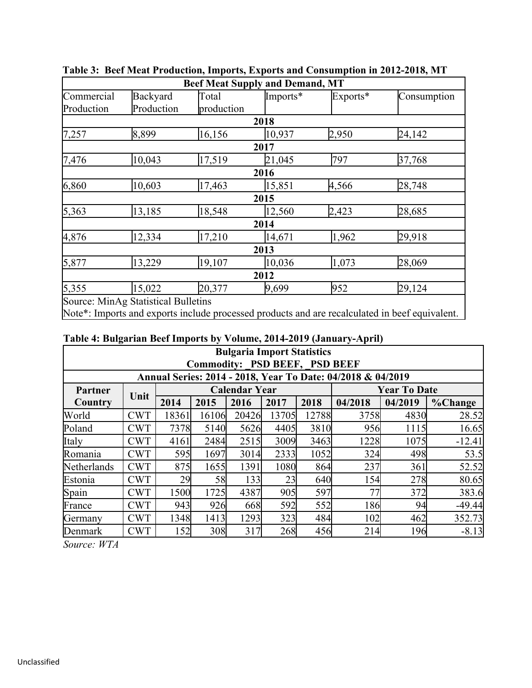|            |                                     | <b>Beef Meat Supply and Demand, MT</b> |          |          |             |
|------------|-------------------------------------|----------------------------------------|----------|----------|-------------|
| Commercial | Backyard                            | Total                                  | Imports* | Exports* | Consumption |
| Production | Production                          | production                             |          |          |             |
|            |                                     |                                        | 2018     |          |             |
| 7,257      | 8,899                               | 16,156                                 | 10,937   | 2,950    | 24,142      |
|            |                                     |                                        | 2017     |          |             |
| 7,476      | 10,043                              | 17,519                                 | 21,045   | 797      | 37,768      |
|            |                                     |                                        | 2016     |          |             |
| 6,860      | 10,603                              | 17,463                                 | 15,851   | 4,566    | 28,748      |
|            |                                     |                                        | 2015     |          |             |
| 5,363      | 13,185                              | 18,548                                 | 12,560   | 2,423    | 28,685      |
|            |                                     |                                        | 2014     |          |             |
| 4,876      | 12,334                              | 17,210                                 | 14,671   | 1,962    | 29,918      |
|            |                                     |                                        | 2013     |          |             |
| 5,877      | 13,229                              | 19,107                                 | 10,036   | 1,073    | 28,069      |
|            |                                     |                                        | 2012     |          |             |
| 5,355      | 15,022                              | 20,377                                 | 9,699    | 952      | 29,124      |
|            | Source: MinAg Statistical Bulletins |                                        |          |          |             |

**Table 3: Beef Meat Production, Imports, Exports and Consumption in 2012-2018, MT**

Note\*: Imports and exports include processed products and are recalculated in beef equivalent.

### **Table 4: Bulgarian Beef Imports by Volume, 2014-2019 (January-April)**

|                                                        | <b>Bulgaria Import Statistics</b><br><b>Commodity: PSD BEEF, PSD BEEF</b><br>Annual Series: 2014 - 2018, Year To Date: 04/2018 & 04/2019 |       |       |       |       |       |         |         |          |  |  |  |  |  |
|--------------------------------------------------------|------------------------------------------------------------------------------------------------------------------------------------------|-------|-------|-------|-------|-------|---------|---------|----------|--|--|--|--|--|
| <b>Calendar Year</b><br><b>Year To Date</b><br>Partner |                                                                                                                                          |       |       |       |       |       |         |         |          |  |  |  |  |  |
| Country                                                | Unit                                                                                                                                     | 2014  | 2015  | 2016  | 2017  | 2018  | 04/2018 | 04/2019 | %Change  |  |  |  |  |  |
| World                                                  | <b>CWT</b>                                                                                                                               | 18361 | 16106 | 20426 | 13705 | 12788 | 3758    | 4830    | 28.52    |  |  |  |  |  |
| Poland                                                 | <b>CWT</b>                                                                                                                               | 7378  | 5140  | 5626  | 4405  | 3810  | 956     | 1115    | 16.65    |  |  |  |  |  |
| Italy                                                  | <b>CWT</b>                                                                                                                               | 4161  | 2484  | 2515  | 3009  | 3463  | 1228    | 1075    | $-12.41$ |  |  |  |  |  |
| Romania                                                | <b>CWT</b>                                                                                                                               | 595   | 1697  | 3014  | 2333  | 1052  | 324     | 498     | 53.5     |  |  |  |  |  |
| Netherlands                                            | <b>CWT</b>                                                                                                                               | 875   | 1655  | 1391  | 1080  | 864   | 237     | 361     | 52.52    |  |  |  |  |  |
| Estonia                                                | <b>CWT</b>                                                                                                                               | 29    | 58    | 133   | 23    | 640   | 154     | 278     | 80.65    |  |  |  |  |  |
| Spain                                                  | <b>CWT</b>                                                                                                                               | 1500  | 1725  | 4387  | 905   | 597   | 77      | 372     | 383.6    |  |  |  |  |  |
| France                                                 | <b>CWT</b>                                                                                                                               | 943   | 926   | 668   | 592   | 552   | 186     | 94      | $-49.44$ |  |  |  |  |  |
| Germany                                                | <b>CWT</b>                                                                                                                               | 1348  | 1413  | 1293  | 323   | 484   | 102     | 462     | 352.73   |  |  |  |  |  |
| Denmark                                                | <b>CWT</b>                                                                                                                               | 152   | 308   | 317   | 268   | 456   | 214     | 196     | $-8.13$  |  |  |  |  |  |

*Source: WTA*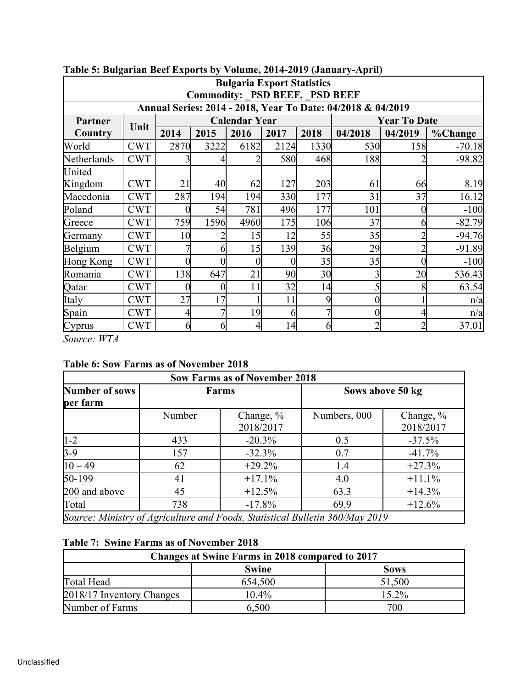|                                                             | <b>Bulgaria Export Statistics</b><br><b>Commodity: PSD BEEF, PSD BEEF</b> |      |      |                      |      |                 |         |                     |          |  |  |  |
|-------------------------------------------------------------|---------------------------------------------------------------------------|------|------|----------------------|------|-----------------|---------|---------------------|----------|--|--|--|
| Annual Series: 2014 - 2018, Year To Date: 04/2018 & 04/2019 |                                                                           |      |      |                      |      |                 |         |                     |          |  |  |  |
| Partner                                                     | Unit                                                                      |      |      | <b>Calendar Year</b> |      |                 |         | <b>Year To Date</b> |          |  |  |  |
| <b>Country</b>                                              |                                                                           | 2014 | 2015 | 2016                 | 2017 | 2018            | 04/2018 | 04/2019             | %Change  |  |  |  |
| World                                                       | <b>CWT</b>                                                                | 2870 | 3222 | 6182                 | 2124 | 1330            | 530     | 158                 | $-70.18$ |  |  |  |
| Netherlands                                                 | <b>CWT</b>                                                                |      |      |                      | 580  | 468             | 188     |                     | $-98.82$ |  |  |  |
| United                                                      |                                                                           |      |      |                      |      |                 |         |                     |          |  |  |  |
| Kingdom                                                     | <b>CWT</b>                                                                | 21   | 40   | 62                   | 127  | 203             | 61      | 66                  | 8.19     |  |  |  |
| Macedonia                                                   | <b>CWT</b>                                                                | 287  | 194  | 194                  | 330  | 177             | 31      | 37                  | 16.12    |  |  |  |
| Poland                                                      | <b>CWT</b>                                                                |      | 54   | 781                  | 496  | 177             | 101     |                     | $-100$   |  |  |  |
| Greece                                                      | <b>CWT</b>                                                                | 759  | 1596 | 4960                 | 175  | 106             | 37      | h                   | $-82.79$ |  |  |  |
| Germany                                                     | <b>CWT</b>                                                                | 10   |      | 15                   | 12   | 55              | 35      |                     | $-94.76$ |  |  |  |
| Belgium                                                     | <b>CWT</b>                                                                |      | O    | 15                   | 139  | 36              | 29      |                     | $-91.89$ |  |  |  |
| Hong Kong                                                   | <b>CWT</b>                                                                | 0    | 0    |                      |      | 35              | 35      |                     | $-100$   |  |  |  |
| Romania                                                     | <b>CWT</b>                                                                | 138  | 647  | 21                   | 90   | 30 <sup>l</sup> |         | 20                  | 536.43   |  |  |  |
| Qatar                                                       | <b>CWT</b>                                                                |      |      | 11                   | 32   | 14              |         |                     | 63.54    |  |  |  |
| Italy                                                       | <b>CWT</b>                                                                | 27   | 17   |                      | 11   | 9               |         |                     | n/a      |  |  |  |
| Spain                                                       | <b>CWT</b>                                                                | 4    | 7    | 19                   | 6    |                 |         |                     | n/a      |  |  |  |
| Cyprus                                                      | <b>CWT</b>                                                                | 6    | 6    |                      | 14   | n               |         |                     | 37.01    |  |  |  |

## **Table 5: Bulgarian Beef Exports by Volume, 2014-2019 (January-April)**

*Source: WTA*

## **Table 6: Sow Farms as of November 2018**

| <b>Sow Farms as of November 2018</b> |        |                                                                              |                  |                           |  |  |  |  |  |
|--------------------------------------|--------|------------------------------------------------------------------------------|------------------|---------------------------|--|--|--|--|--|
| Number of sows<br>per farm           |        | <b>Farms</b>                                                                 | Sows above 50 kg |                           |  |  |  |  |  |
|                                      | Number | Change, %<br>2018/2017                                                       | Numbers, 000     | Change, $\%$<br>2018/2017 |  |  |  |  |  |
| $1-2$                                | 433    | $-20.3%$                                                                     | 0.5              | $-37.5%$                  |  |  |  |  |  |
| $3-9$                                | 157    | $-32.3%$                                                                     | 0.7              | $-41.7%$                  |  |  |  |  |  |
| $\sqrt{10-49}$                       | 62     | $+29.2%$                                                                     | 1.4              | $+27.3%$                  |  |  |  |  |  |
| $50-199$                             | 41     | $+17.1%$                                                                     | 4.0              | $+11.1%$                  |  |  |  |  |  |
| 200 and above                        | 45     | $+12.5%$                                                                     | 63.3             | $+14.3%$                  |  |  |  |  |  |
| Total                                | 738    | $-17.8%$                                                                     | 69.9             | $+12.6%$                  |  |  |  |  |  |
|                                      |        | Source: Ministry of Agriculture and Foods, Statistical Bulletin 360/May 2019 |                  |                           |  |  |  |  |  |

### **Table 7: Swine Farms as of November 2018**

| <b>Changes at Swine Farms in 2018 compared to 2017</b> |          |        |  |  |  |  |  |  |
|--------------------------------------------------------|----------|--------|--|--|--|--|--|--|
| <b>Swine</b><br><b>Sows</b>                            |          |        |  |  |  |  |  |  |
| Total Head                                             | 654,500  | 51,500 |  |  |  |  |  |  |
| 2018/17 Inventory Changes                              | $10.4\%$ | 15.2%  |  |  |  |  |  |  |
| Number of Farms                                        | 6,500    | 700    |  |  |  |  |  |  |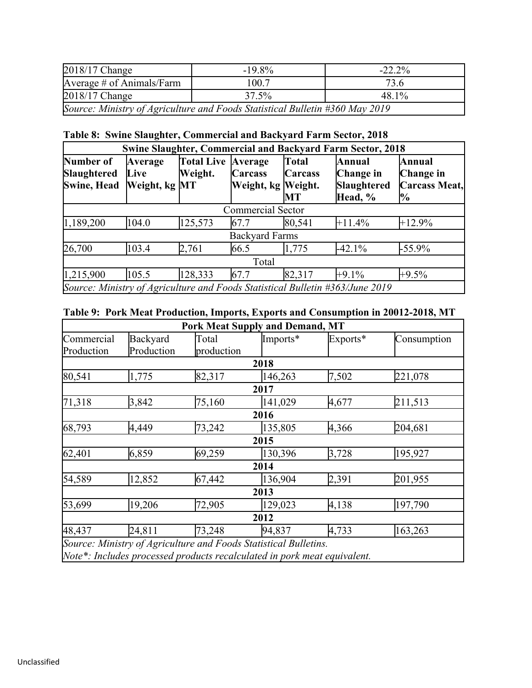| $2018/17$ Change          | $-19.8\%$                                                                    | $-22.2\%$ |  |  |  |
|---------------------------|------------------------------------------------------------------------------|-----------|--|--|--|
| Average # of Animals/Farm | 100.7                                                                        | 73.6      |  |  |  |
| $2018/17$ Change          | 37.5%<br>48.1%                                                               |           |  |  |  |
|                           | Source: Ministry of Agriculture and Foods Statistical Bulletin #360 May 2019 |           |  |  |  |

## **Table 8: Swine Slaughter, Commercial and Backyard Farm Sector, 2018**

| <b>Swine Slaughter, Commercial and Backyard Farm Sector, 2018</b>             |                                  |                               |                               |                               |                                               |                                                        |  |  |  |
|-------------------------------------------------------------------------------|----------------------------------|-------------------------------|-------------------------------|-------------------------------|-----------------------------------------------|--------------------------------------------------------|--|--|--|
| Number of<br>Slaughtered<br>Swine, Head                                       | Average<br>Live<br>Weight, kg MT | Total Live Average<br>Weight. | Carcass<br>Weight, kg Weight. | Total<br><b>Carcass</b><br>MТ | Annual<br>Change in<br>Slaughtered<br>Head, % | Annual<br>Change in<br>Carcass Meat,<br>$\frac{10}{6}$ |  |  |  |
|                                                                               |                                  |                               | <b>Commercial Sector</b>      |                               |                                               |                                                        |  |  |  |
| 1,189,200                                                                     | 104.0                            | 125,573                       | 67.7                          | 80,541                        | $+11.4%$                                      | $+12.9%$                                               |  |  |  |
|                                                                               |                                  |                               | <b>Backyard Farms</b>         |                               |                                               |                                                        |  |  |  |
| 26,700                                                                        | 103.4                            | 2,761                         | 66.5                          | 1,775                         | $-42.1%$                                      | $-55.9\%$                                              |  |  |  |
| Total                                                                         |                                  |                               |                               |                               |                                               |                                                        |  |  |  |
| 1,215,900                                                                     | 105.5                            | 128,333                       | 67.7                          | 82,317                        | $+9.1\%$                                      | $+9.5\%$                                               |  |  |  |
| Source: Ministry of Agriculture and Foods Statistical Bulletin #363/June 2019 |                                  |                               |                               |                               |                                               |                                                        |  |  |  |

# **Table 9: Pork Meat Production, Imports, Exports and Consumption in 20012-2018, MT**

|            |            | <b>Pork Meat Supply and Demand, MT</b>                                   |          |          |             |
|------------|------------|--------------------------------------------------------------------------|----------|----------|-------------|
| Commercial | Backyard   | Total                                                                    | Imports* | Exports* | Consumption |
| Production | Production | production                                                               |          |          |             |
|            |            |                                                                          | 2018     |          |             |
| 80,541     | 1,775      | 82,317                                                                   | 146,263  | 7,502    | 221,078     |
|            |            |                                                                          | 2017     |          |             |
| 71,318     | 3,842      | 75,160                                                                   | 141,029  | 4,677    | 211,513     |
|            |            |                                                                          | 2016     |          |             |
| 68,793     | 4,449      | 73,242                                                                   | 135,805  | 4,366    | 204,681     |
|            |            |                                                                          | 2015     |          |             |
| 62,401     | 6,859      | 69,259                                                                   | 130,396  | 3,728    | 195,927     |
|            |            |                                                                          | 2014     |          |             |
| 54,589     | 12,852     | 67,442                                                                   | 136,904  | 2,391    | 201,955     |
|            |            |                                                                          | 2013     |          |             |
| 53,699     | 19,206     | 72,905                                                                   | 129,023  | 4,138    | 197,790     |
|            |            |                                                                          | 2012     |          |             |
| 48,437     | 24,811     | 73,248                                                                   | 94,837   | 4,733    | 163,263     |
|            |            | Source: Ministry of Agriculture and Foods Statistical Bulletins.         |          |          |             |
|            |            | Note*: Includes processed products recalculated in pork meat equivalent. |          |          |             |